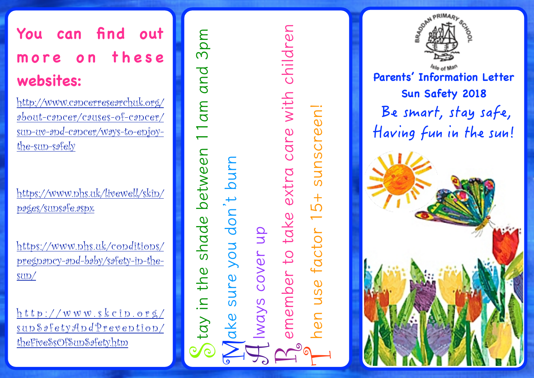# **You can find out**  more on these **websites:**

http://www.cancerresearchuk.org/ about-cancer/causes-of-cancer/ sun-uv-and-cancer/ways-to-enjoythe-sun-safely

https://www.nhs.uk/livewell/skin/ pages/sunsafe.aspx

https://www.nhs.uk/conditions/ pregnancy-and-baby/safety-in-thesun/

 $h$ ttp://www.skcin.org/ sunSafetyAndPrevention/ theFiveSsOfSunSafety.htm

3pm **tay in the shade between 11am and 3pm** 11 am and <sup>o</sup> tay in the shade between

**ake sure you don't burn lways cover up emember to take extra care with children** ake sure you don't burn  $\Delta$ emember to take extra care with children  $\curvearrowright$ 

**hen use factor 15+ sunscreen!**

nen use factor 15+

sunscreen!